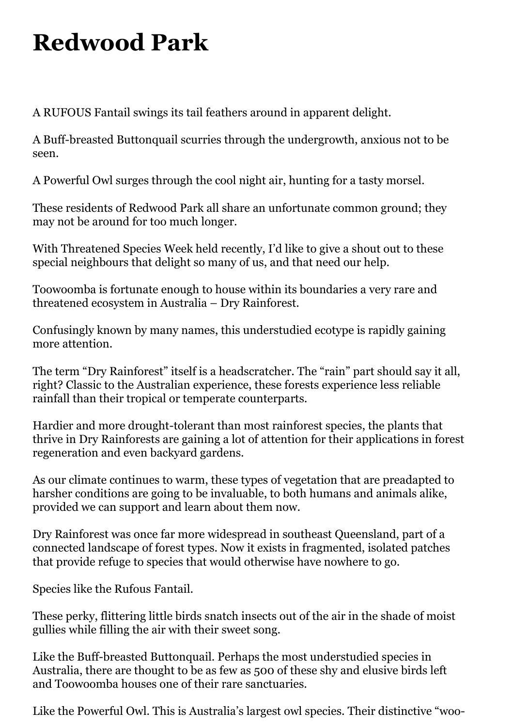## **Redwood Park**

A RUFOUS Fantail swings its tail feathers around in apparent delight.

A Buff-breasted Buttonquail scurries through the undergrowth, anxious not to be seen.

A Powerful Owl surges through the cool night air, hunting for a tasty morsel.

These residents of Redwood Park all share an unfortunate common ground; they may not be around for too much longer.

With Threatened Species Week held recently, I'd like to give a shout out to these special neighbours that delight so many of us, and that need our help.

Toowoomba is fortunate enough to house within its boundaries a very rare and threatened ecosystem in Australia – Dry Rainforest.

Confusingly known by many names, this understudied ecotype is rapidly gaining more attention.

The term "Dry Rainforest" itself is a headscratcher. The "rain" part should say it all, right? Classic to the Australian experience, these forests experience less reliable rainfall than their tropical or temperate counterparts.

Hardier and more drought-tolerant than most rainforest species, the plants that thrive in Dry Rainforests are gaining a lot of attention for their applications in forest regeneration and even backyard gardens.

As our climate continues to warm, these types of vegetation that are preadapted to harsher conditions are going to be invaluable, to both humans and animals alike, provided we can support and learn about them now.

Dry Rainforest was once far more widespread in southeast Queensland, part of a connected landscape of forest types. Now it exists in fragmented, isolated patches that provide refuge to species that would otherwise have nowhere to go.

Species like the Rufous Fantail.

These perky, flittering little birds snatch insects out of the air in the shade of moist gullies while filling the air with their sweet song.

Like the Buff-breasted Buttonquail. Perhaps the most understudied species in Australia, there are thought to be as few as 500 of these shy and elusive birds left and Toowoomba houses one of their rare sanctuaries.

Like the Powerful Owl. This is Australia's largest owl species. Their distinctive "woo-